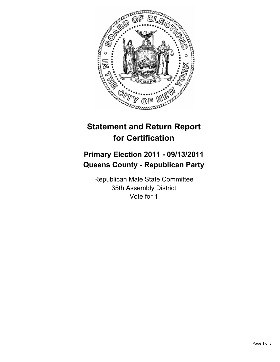

## **Statement and Return Report for Certification**

## **Primary Election 2011 - 09/13/2011 Queens County - Republican Party**

Republican Male State Committee 35th Assembly District Vote for 1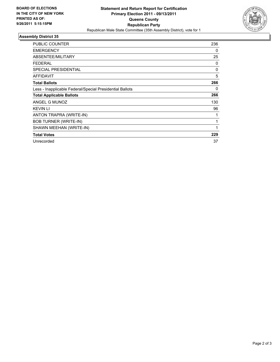

## **Assembly District 35**

| <b>PUBLIC COUNTER</b>                                    | 236 |
|----------------------------------------------------------|-----|
| <b>EMERGENCY</b>                                         | 0   |
| ABSENTEE/MILITARY                                        | 25  |
| <b>FEDERAL</b>                                           | 0   |
| <b>SPECIAL PRESIDENTIAL</b>                              | 0   |
| <b>AFFIDAVIT</b>                                         | 5   |
| <b>Total Ballots</b>                                     | 266 |
| Less - Inapplicable Federal/Special Presidential Ballots | 0   |
| <b>Total Applicable Ballots</b>                          | 266 |
| ANGEL G MUNOZ                                            | 130 |
| <b>KEVIN LI</b>                                          | 96  |
| ANTON TRAPRA (WRITE-IN)                                  | 1   |
| <b>BOB TURNER (WRITE-IN)</b>                             | 1   |
| SHAWN MEEHAN (WRITE-IN)                                  | 1   |
| <b>Total Votes</b>                                       | 229 |
| Unrecorded                                               | 37  |